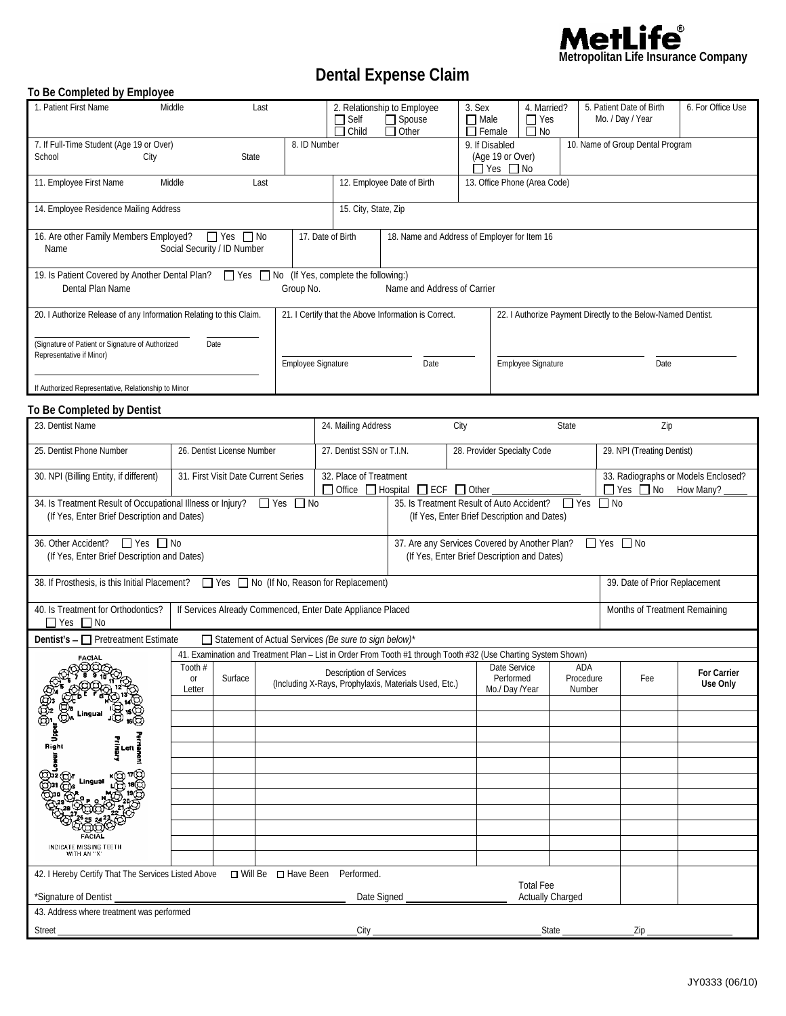

# **Dental Expense Claim**

#### **To Be Completed by Employee**

| 1. Patient First Name                                                                                                                                                                                                                                    | Middle<br>Last                                                                                                            |                                                                                                                      | $\Box$ Self<br>Child                                                             | 2. Relationship to Employee<br>$\Box$ Spouse<br>$\Box$ Other                    | 3. Sex<br>$\Box$ Male<br>$\Box$ Female | $\Box$ Yes<br>$\Box$ No                                      | 4. Married?                   |      | 5. Patient Date of Birth<br>Mo. / Day / Year | 6. For Office Use                                                     |  |
|----------------------------------------------------------------------------------------------------------------------------------------------------------------------------------------------------------------------------------------------------------|---------------------------------------------------------------------------------------------------------------------------|----------------------------------------------------------------------------------------------------------------------|----------------------------------------------------------------------------------|---------------------------------------------------------------------------------|----------------------------------------|--------------------------------------------------------------|-------------------------------|------|----------------------------------------------|-----------------------------------------------------------------------|--|
| 7. If Full-Time Student (Age 19 or Over)<br>School<br>State<br>City                                                                                                                                                                                      |                                                                                                                           |                                                                                                                      | 8. ID Number                                                                     |                                                                                 |                                        | 9. If Disabled<br>(Age 19 or Over)<br>$\Box$ Yes $\Box$ No   |                               |      | 10. Name of Group Dental Program             |                                                                       |  |
| 11. Employee First Name<br>Middle<br>Last                                                                                                                                                                                                                |                                                                                                                           |                                                                                                                      | 12. Employee Date of Birth                                                       |                                                                                 |                                        | 13. Office Phone (Area Code)                                 |                               |      |                                              |                                                                       |  |
| 14. Employee Residence Mailing Address                                                                                                                                                                                                                   |                                                                                                                           |                                                                                                                      |                                                                                  | 15. City, State, Zip                                                            |                                        |                                                              |                               |      |                                              |                                                                       |  |
| 16. Are other Family Members Employed?<br>$\Box$ Yes $\Box$ No<br>Social Security / ID Number<br>Name                                                                                                                                                    |                                                                                                                           |                                                                                                                      | 17. Date of Birth<br>18. Name and Address of Employer for Item 16                |                                                                                 |                                        |                                                              |                               |      |                                              |                                                                       |  |
| 19. Is Patient Covered by Another Dental Plan?<br>These Tablor (If Yes, complete the following:)<br>Dental Plan Name<br>Name and Address of Carrier<br>Group No.                                                                                         |                                                                                                                           |                                                                                                                      |                                                                                  |                                                                                 |                                        |                                                              |                               |      |                                              |                                                                       |  |
| 20. I Authorize Release of any Information Relating to this Claim.                                                                                                                                                                                       |                                                                                                                           |                                                                                                                      | 21. I Certify that the Above Information is Correct.                             |                                                                                 |                                        | 22. I Authorize Payment Directly to the Below-Named Dentist. |                               |      |                                              |                                                                       |  |
| (Signature of Patient or Signature of Authorized<br>Representative if Minor)                                                                                                                                                                             |                                                                                                                           | Employee Signature                                                                                                   |                                                                                  | Employee Signature<br>Date                                                      |                                        |                                                              |                               | Date |                                              |                                                                       |  |
| If Authorized Representative, Relationship to Minor                                                                                                                                                                                                      |                                                                                                                           |                                                                                                                      |                                                                                  |                                                                                 |                                        |                                                              |                               |      |                                              |                                                                       |  |
| To Be Completed by Dentist                                                                                                                                                                                                                               |                                                                                                                           |                                                                                                                      |                                                                                  |                                                                                 |                                        |                                                              |                               |      |                                              |                                                                       |  |
| 23. Dentist Name                                                                                                                                                                                                                                         |                                                                                                                           | 24. Mailing Address<br>City                                                                                          |                                                                                  |                                                                                 | State                                  |                                                              |                               | Zip  |                                              |                                                                       |  |
| 25. Dentist Phone Number                                                                                                                                                                                                                                 | 26. Dentist License Number                                                                                                |                                                                                                                      | 27. Dentist SSN or T.I.N.                                                        |                                                                                 |                                        | 28. Provider Specialty Code                                  |                               |      | 29. NPI (Treating Dentist)                   |                                                                       |  |
| 30. NPI (Billing Entity, if different)                                                                                                                                                                                                                   | 31. First Visit Date Current Series                                                                                       |                                                                                                                      |                                                                                  | 32. Place of Treatment<br>$\Box$ Office $\Box$ Hospital $\Box$ ECF $\Box$ Other |                                        |                                                              |                               |      |                                              | 33. Radiographs or Models Enclosed?<br>$\Box$ Yes $\Box$ No How Many? |  |
| 34. Is Treatment Result of Occupational Illness or Injury?<br>35. Is Treatment Result of Auto Accident?<br>$\Box$ Yes<br>$\Box$ No<br>$\Box$ Yes $\Box$ No<br>(If Yes, Enter Brief Description and Dates)<br>(If Yes, Enter Brief Description and Dates) |                                                                                                                           |                                                                                                                      |                                                                                  |                                                                                 |                                        |                                                              |                               |      |                                              |                                                                       |  |
| 36. Other Accident? □ Yes □ No<br>(If Yes, Enter Brief Description and Dates)                                                                                                                                                                            |                                                                                                                           | 37. Are any Services Covered by Another Plan?<br>$\Box$ Yes $\Box$ No<br>(If Yes, Enter Brief Description and Dates) |                                                                                  |                                                                                 |                                        |                                                              |                               |      |                                              |                                                                       |  |
| 38. If Prosthesis, is this Initial Placement?                                                                                                                                                                                                            | Yes No (If No, Reason for Replacement)                                                                                    |                                                                                                                      |                                                                                  |                                                                                 |                                        |                                                              | 39. Date of Prior Replacement |      |                                              |                                                                       |  |
| 40. Is Treatment for Orthodontics?<br>$\Box$ Yes $\Box$ No                                                                                                                                                                                               |                                                                                                                           | If Services Already Commenced, Enter Date Appliance Placed                                                           |                                                                                  |                                                                                 |                                        | Months of Treatment Remaining                                |                               |      |                                              |                                                                       |  |
| Dentist's $-\Box$ Pretreatment Estimate<br>Statement of Actual Services (Be sure to sign below)*                                                                                                                                                         |                                                                                                                           |                                                                                                                      |                                                                                  |                                                                                 |                                        |                                                              |                               |      |                                              |                                                                       |  |
| <b>FACIAL</b><br>aBBBAz                                                                                                                                                                                                                                  | 41. Examination and Treatment Plan - List in Order From Tooth #1 through Tooth #32 (Use Charting System Shown)<br>Tooth # |                                                                                                                      |                                                                                  | Date Service<br>ADA                                                             |                                        |                                                              |                               |      |                                              |                                                                       |  |
|                                                                                                                                                                                                                                                          | Surface<br>or<br>Letter                                                                                                   |                                                                                                                      | Description of Services<br>(Including X-Rays, Prophylaxis, Materials Used, Etc.) |                                                                                 |                                        | Performed<br>Procedure<br>Mo./ Day /Year<br>Number           |                               |      | Fee                                          | For Carrier<br>Use Only                                               |  |
| Lingual                                                                                                                                                                                                                                                  |                                                                                                                           |                                                                                                                      |                                                                                  |                                                                                 |                                        |                                                              |                               |      |                                              |                                                                       |  |
| ୍ଥୁ<br>Right                                                                                                                                                                                                                                             |                                                                                                                           |                                                                                                                      |                                                                                  |                                                                                 |                                        |                                                              |                               |      |                                              |                                                                       |  |
|                                                                                                                                                                                                                                                          |                                                                                                                           |                                                                                                                      |                                                                                  |                                                                                 |                                        |                                                              |                               |      |                                              |                                                                       |  |
| QJ32<br>Lingual                                                                                                                                                                                                                                          |                                                                                                                           |                                                                                                                      |                                                                                  |                                                                                 |                                        |                                                              |                               |      |                                              |                                                                       |  |
|                                                                                                                                                                                                                                                          |                                                                                                                           |                                                                                                                      |                                                                                  |                                                                                 |                                        |                                                              |                               |      |                                              |                                                                       |  |
|                                                                                                                                                                                                                                                          |                                                                                                                           |                                                                                                                      |                                                                                  |                                                                                 |                                        |                                                              |                               |      |                                              |                                                                       |  |
| INDICATE MISSING TEETH<br>WITH AN "X"                                                                                                                                                                                                                    |                                                                                                                           |                                                                                                                      |                                                                                  |                                                                                 |                                        |                                                              |                               |      |                                              |                                                                       |  |
| 42. I Hereby Certify That The Services Listed Above<br>□ Will Be □ Have Been<br>Performed.                                                                                                                                                               |                                                                                                                           |                                                                                                                      |                                                                                  |                                                                                 |                                        |                                                              |                               |      |                                              |                                                                       |  |
| *Signature of Dentist<br>Date Signed                                                                                                                                                                                                                     |                                                                                                                           |                                                                                                                      |                                                                                  |                                                                                 |                                        | <b>Total Fee</b>                                             | Actually Charged              |      |                                              |                                                                       |  |
| 43. Address where treatment was performed                                                                                                                                                                                                                |                                                                                                                           |                                                                                                                      |                                                                                  |                                                                                 |                                        |                                                              |                               |      |                                              |                                                                       |  |
| Street                                                                                                                                                                                                                                                   |                                                                                                                           |                                                                                                                      | City                                                                             |                                                                                 |                                        |                                                              | State                         |      | Zip                                          |                                                                       |  |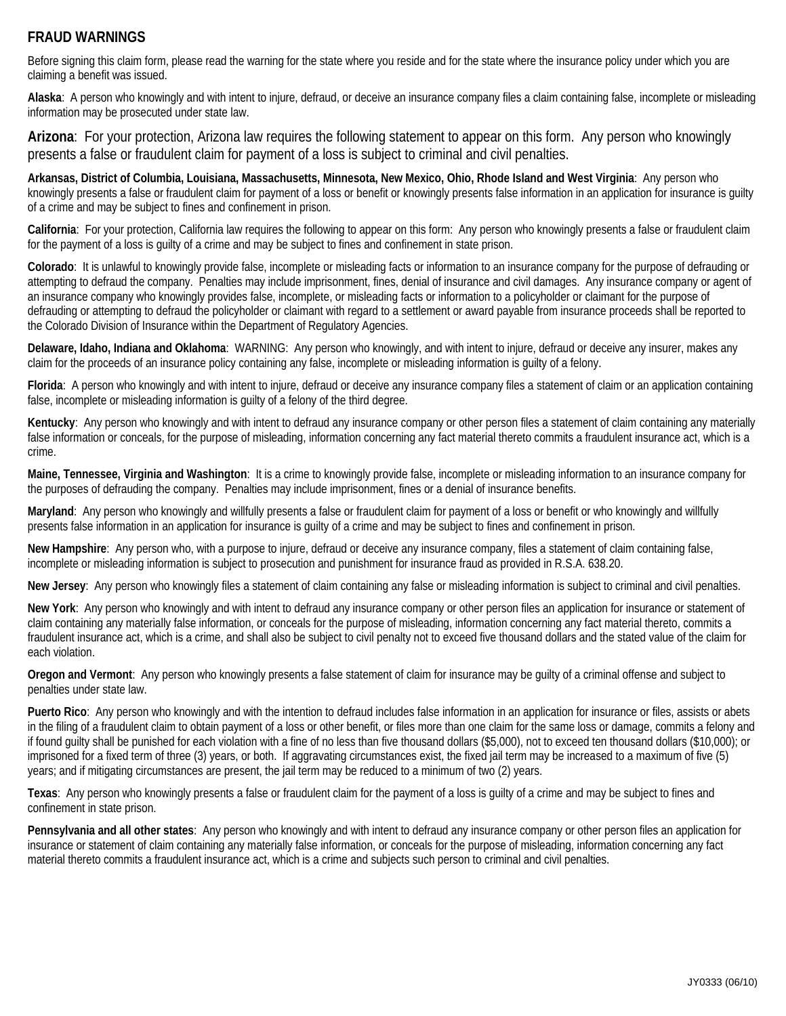# **FRAUD WARNINGS**

Before signing this claim form, please read the warning for the state where you reside and for the state where the insurance policy under which you are claiming a benefit was issued.

**Alaska**: A person who knowingly and with intent to injure, defraud, or deceive an insurance company files a claim containing false, incomplete or misleading information may be prosecuted under state law.

**Arizona**: For your protection, Arizona law requires the following statement to appear on this form. Any person who knowingly presents a false or fraudulent claim for payment of a loss is subject to criminal and civil penalties.

**Arkansas, District of Columbia, Louisiana, Massachusetts, Minnesota, New Mexico, Ohio, Rhode Island and West Virginia**: Any person who knowingly presents a false or fraudulent claim for payment of a loss or benefit or knowingly presents false information in an application for insurance is guilty of a crime and may be subject to fines and confinement in prison.

**California**: For your protection, California law requires the following to appear on this form: Any person who knowingly presents a false or fraudulent claim for the payment of a loss is guilty of a crime and may be subject to fines and confinement in state prison.

**Colorado**: It is unlawful to knowingly provide false, incomplete or misleading facts or information to an insurance company for the purpose of defrauding or attempting to defraud the company. Penalties may include imprisonment, fines, denial of insurance and civil damages. Any insurance company or agent of an insurance company who knowingly provides false, incomplete, or misleading facts or information to a policyholder or claimant for the purpose of defrauding or attempting to defraud the policyholder or claimant with regard to a settlement or award payable from insurance proceeds shall be reported to the Colorado Division of Insurance within the Department of Regulatory Agencies.

**Delaware, Idaho, Indiana and Oklahoma**: WARNING: Any person who knowingly, and with intent to injure, defraud or deceive any insurer, makes any claim for the proceeds of an insurance policy containing any false, incomplete or misleading information is guilty of a felony.

**Florida**: A person who knowingly and with intent to injure, defraud or deceive any insurance company files a statement of claim or an application containing false, incomplete or misleading information is guilty of a felony of the third degree.

**Kentucky**: Any person who knowingly and with intent to defraud any insurance company or other person files a statement of claim containing any materially false information or conceals, for the purpose of misleading, information concerning any fact material thereto commits a fraudulent insurance act, which is a crime.

**Maine, Tennessee, Virginia and Washington**: It is a crime to knowingly provide false, incomplete or misleading information to an insurance company for the purposes of defrauding the company. Penalties may include imprisonment, fines or a denial of insurance benefits.

**Maryland**: Any person who knowingly and willfully presents a false or fraudulent claim for payment of a loss or benefit or who knowingly and willfully presents false information in an application for insurance is guilty of a crime and may be subject to fines and confinement in prison.

**New Hampshire**: Any person who, with a purpose to injure, defraud or deceive any insurance company, files a statement of claim containing false, incomplete or misleading information is subject to prosecution and punishment for insurance fraud as provided in R.S.A. 638.20.

**New Jersey**: Any person who knowingly files a statement of claim containing any false or misleading information is subject to criminal and civil penalties.

**New York**: Any person who knowingly and with intent to defraud any insurance company or other person files an application for insurance or statement of claim containing any materially false information, or conceals for the purpose of misleading, information concerning any fact material thereto, commits a fraudulent insurance act, which is a crime, and shall also be subject to civil penalty not to exceed five thousand dollars and the stated value of the claim for each violation.

**Oregon and Vermont**: Any person who knowingly presents a false statement of claim for insurance may be guilty of a criminal offense and subject to penalties under state law.

**Puerto Rico**: Any person who knowingly and with the intention to defraud includes false information in an application for insurance or files, assists or abets in the filing of a fraudulent claim to obtain payment of a loss or other benefit, or files more than one claim for the same loss or damage, commits a felony and if found guilty shall be punished for each violation with a fine of no less than five thousand dollars (\$5,000), not to exceed ten thousand dollars (\$10,000); or imprisoned for a fixed term of three (3) years, or both. If aggravating circumstances exist, the fixed jail term may be increased to a maximum of five (5) years; and if mitigating circumstances are present, the jail term may be reduced to a minimum of two (2) years.

**Texas**: Any person who knowingly presents a false or fraudulent claim for the payment of a loss is guilty of a crime and may be subject to fines and confinement in state prison.

**Pennsylvania and all other states**:Any person who knowingly and with intent to defraud any insurance company or other person files an application for insurance or statement of claim containing any materially false information, or conceals for the purpose of misleading, information concerning any fact material thereto commits a fraudulent insurance act, which is a crime and subjects such person to criminal and civil penalties.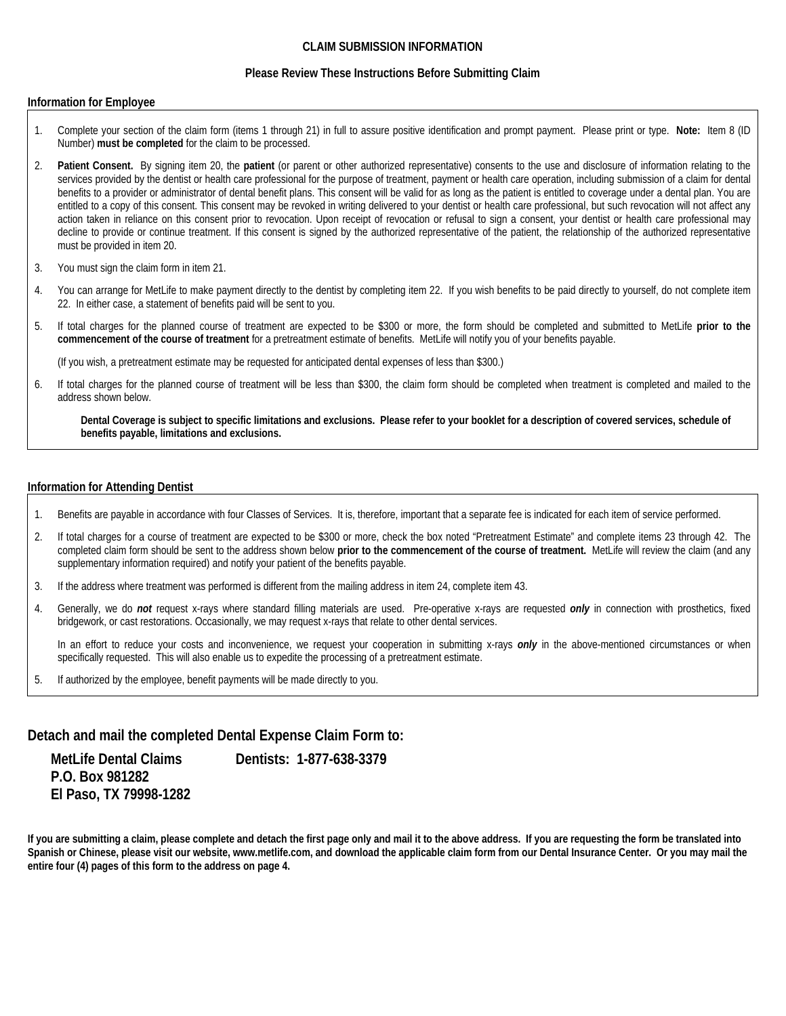#### **CLAIM SUBMISSION INFORMATION**

#### **Please Review These Instructions Before Submitting Claim**

#### **Information for Employee**

- 1. Complete your section of the claim form (items 1 through 21) in full to assure positive identification and prompt payment. Please print or type. **Note:** Item 8 (ID Number) **must be completed** for the claim to be processed.
- 2. **Patient Consent.** By signing item 20, the **patient** (or parent or other authorized representative) consents to the use and disclosure of information relating to the services provided by the dentist or health care professional for the purpose of treatment, payment or health care operation, including submission of a claim for dental benefits to a provider or administrator of dental benefit plans. This consent will be valid for as long as the patient is entitled to coverage under a dental plan. You are entitled to a copy of this consent. This consent may be revoked in writing delivered to your dentist or health care professional, but such revocation will not affect any action taken in reliance on this consent prior to revocation. Upon receipt of revocation or refusal to sign a consent, your dentist or health care professional may decline to provide or continue treatment. If this consent is signed by the authorized representative of the patient, the relationship of the authorized representative must be provided in item 20.
- 3. You must sign the claim form in item 21.
- 4. You can arrange for MetLife to make payment directly to the dentist by completing item 22. If you wish benefits to be paid directly to yourself, do not complete item 22. In either case, a statement of benefits paid will be sent to you.
- 5. If total charges for the planned course of treatment are expected to be \$300 or more, the form should be completed and submitted to MetLife **prior to the commencement of the course of treatment** for a pretreatment estimate of benefits. MetLife will notify you of your benefits payable.

(If you wish, a pretreatment estimate may be requested for anticipated dental expenses of less than \$300.)

6. If total charges for the planned course of treatment will be less than \$300, the claim form should be completed when treatment is completed and mailed to the address shown below.

**Dental Coverage is subject to specific limitations and exclusions. Please refer to your booklet for a description of covered services, schedule of benefits payable, limitations and exclusions.** 

#### **Information for Attending Dentist**

- 1. Benefits are payable in accordance with four Classes of Services. It is, therefore, important that a separate fee is indicated for each item of service performed.
- 2. If total charges for a course of treatment are expected to be \$300 or more, check the box noted "Pretreatment Estimate" and complete items 23 through 42. The completed claim form should be sent to the address shown below **prior to the commencement of the course of treatment.** MetLife will review the claim (and any supplementary information required) and notify your patient of the benefits payable.
- 3. If the address where treatment was performed is different from the mailing address in item 24, complete item 43.
- 4. Generally, we do *not* request x-rays where standard filling materials are used. Pre-operative x-rays are requested *only* in connection with prosthetics, fixed bridgework, or cast restorations. Occasionally, we may request x-rays that relate to other dental services.

In an effort to reduce your costs and inconvenience, we request your cooperation in submitting x-rays *only* in the above-mentioned circumstances or when specifically requested. This will also enable us to expedite the processing of a pretreatment estimate.

5. If authorized by the employee, benefit payments will be made directly to you.

### **Detach and mail the completed Dental Expense Claim Form to:**

 **P.O. Box 981282 El Paso, TX 79998-1282** 

MetLife Dental Claims **Dentists: 1-877-638-3379** 

**If you are submitting a claim, please complete and detach the first page only and mail it to the above address. If you are requesting the form be translated into Spanish or Chinese, please visit our website, www.metlife.com, and download the applicable claim form from our Dental Insurance Center. Or you may mail the entire four (4) pages of this form to the address on page 4.**